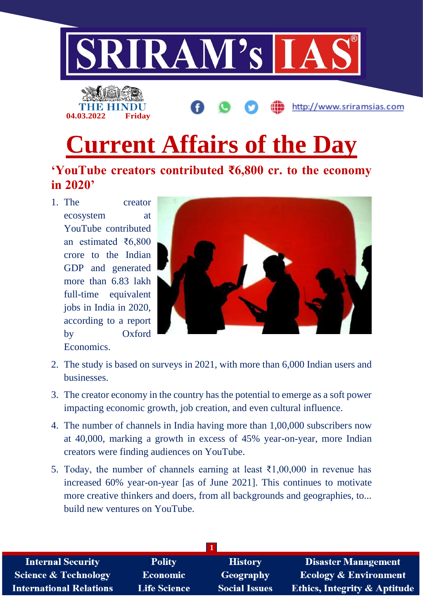



http://www.sriramsias.com

# **Current Affairs of the Day**

## **'YouTube creators contributed ₹6,800 cr. to the economy in 2020'**

1. The creator ecosystem at YouTube contributed an estimated ₹6,800 crore to the Indian GDP and generated more than 6.83 lakh full-time equivalent jobs in India in 2020, according to a report by Oxford Economics.



- 2. The study is based on surveys in 2021, with more than 6,000 Indian users and businesses.
- 3. The creator economy in the country has the potential to emerge as a soft power impacting economic growth, job creation, and even cultural influence.
- 4. The number of channels in India having more than 1,00,000 subscribers now at 40,000, marking a growth in excess of 45% year-on-year, more Indian creators were finding audiences on YouTube.
- 5. Today, the number of channels earning at least  $\bar{\tau}1,00,000$  in revenue has increased 60% year-on-year [as of June 2021]. This continues to motivate more creative thinkers and doers, from all backgrounds and geographies, to... build new ventures on YouTube.

| <b>Internal Security</b>        | <b>Polity</b>       | <b>History</b>       | <b>Disaster Management</b>              |
|---------------------------------|---------------------|----------------------|-----------------------------------------|
| <b>Science &amp; Technology</b> | <b>Economic</b>     | Geography            | <b>Ecology &amp; Environment</b>        |
| <b>International Relations</b>  | <b>Life Science</b> | <b>Social Issues</b> | <b>Ethics, Integrity &amp; Aptitude</b> |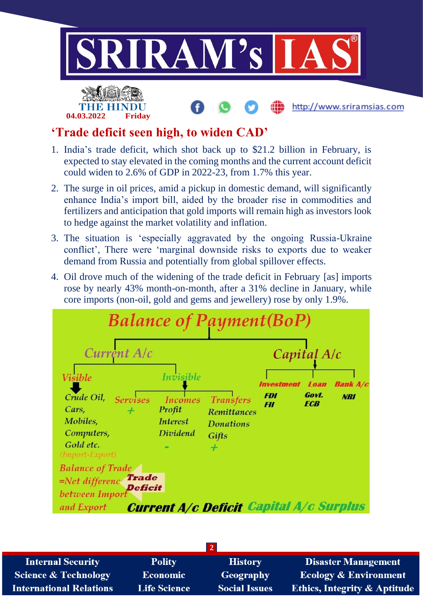

## **'Trade deficit seen high, to widen CAD'**

- 1. India's trade deficit, which shot back up to \$21.2 billion in February, is expected to stay elevated in the coming months and the current account deficit could widen to 2.6% of GDP in 2022-23, from 1.7% this year.
- 2. The surge in oil prices, amid a pickup in domestic demand, will significantly enhance India's import bill, aided by the broader rise in commodities and fertilizers and anticipation that gold imports will remain high as investors look to hedge against the market volatility and inflation.
- 3. The situation is 'especially aggravated by the ongoing Russia-Ukraine conflict', There were 'marginal downside risks to exports due to weaker demand from Russia and potentially from global spillover effects.
- 4. Oil drove much of the widening of the trade deficit in February [as] imports rose by nearly 43% month-on-month, after a 31% decline in January, while core imports (non-oil, gold and gems and jewellery) rose by only 1.9%.



| <b>Internal Security</b>        | <b>Polity</b>       | <b>History</b>       | <b>Disaster Management</b>              |
|---------------------------------|---------------------|----------------------|-----------------------------------------|
| <b>Science &amp; Technology</b> | <b>Economic</b>     | <b>Geography</b>     | <b>Ecology &amp; Environment</b>        |
| <b>International Relations</b>  | <b>Life Science</b> | <b>Social Issues</b> | <b>Ethics, Integrity &amp; Aptitude</b> |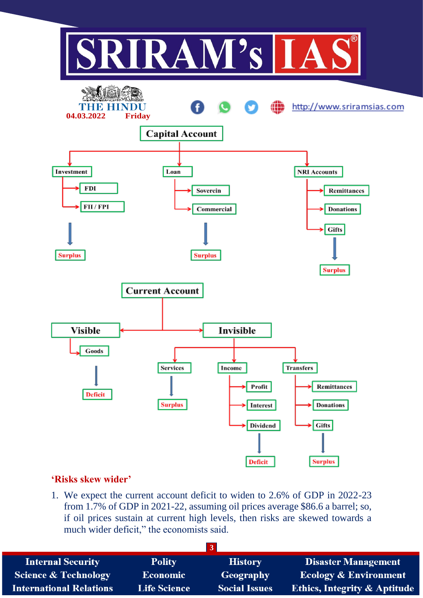

#### **'Risks skew wider'**

1. We expect the current account deficit to widen to 2.6% of GDP in 2022-23 from 1.7% of GDP in 2021-22, assuming oil prices average \$86.6 a barrel; so, if oil prices sustain at current high levels, then risks are skewed towards a much wider deficit," the economists said.

| <b>Internal Security</b>        | <b>Polity</b>       | <b>History</b>       | <b>Disaster Management</b>              |
|---------------------------------|---------------------|----------------------|-----------------------------------------|
| <b>Science &amp; Technology</b> | <b>Economic</b>     | Geography            | Ecology & Environment                   |
| <b>International Relations</b>  | <b>Life Science</b> | <b>Social Issues</b> | <b>Ethics, Integrity &amp; Aptitude</b> |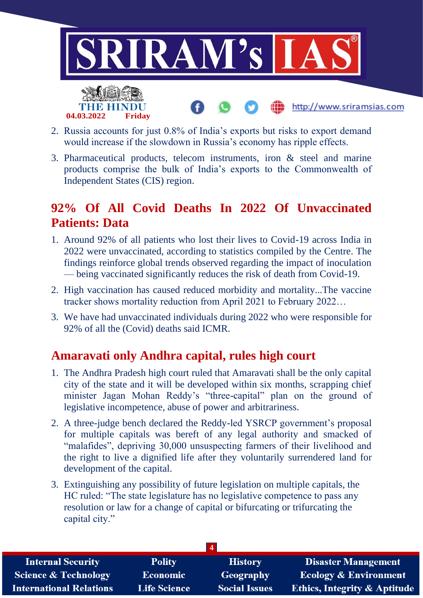

2. Russia accounts for just 0.8% of India's exports but risks to export demand would increase if the slowdown in Russia's economy has ripple effects.

**04.03.2022 Friday**

3. Pharmaceutical products, telecom instruments, iron & steel and marine products comprise the bulk of India's exports to the Commonwealth of Independent States (CIS) region.

# **92% Of All Covid Deaths In 2022 Of Unvaccinated Patients: Data**

- 1. Around 92% of all patients who lost their lives to Covid-19 across India in 2022 were unvaccinated, according to statistics compiled by the Centre. The findings reinforce global trends observed regarding the impact of inoculation — being vaccinated significantly reduces the risk of death from Covid-19.
- 2. High vaccination has caused reduced morbidity and mortality...The vaccine tracker shows mortality reduction from April 2021 to February 2022…
- 3. We have had unvaccinated individuals during 2022 who were responsible for 92% of all the (Covid) deaths said ICMR.

## **Amaravati only Andhra capital, rules high court**

- 1. The Andhra Pradesh high court ruled that Amaravati shall be the only capital city of the state and it will be developed within six months, scrapping chief minister Jagan Mohan Reddy's "three-capital" plan on the ground of legislative incompetence, abuse of power and arbitrariness.
- 2. A three-judge bench declared the Reddy-led YSRCP government's proposal for multiple capitals was bereft of any legal authority and smacked of "malafides", depriving 30,000 unsuspecting farmers of their livelihood and the right to live a dignified life after they voluntarily surrendered land for development of the capital.
- 3. Extinguishing any possibility of future legislation on multiple capitals, the HC ruled: "The state legislature has no legislative competence to pass any resolution or law for a change of capital or bifurcating or trifurcating the capital city."

| <b>Internal Security</b>        | <b>Polity</b>       | <b>History</b>       | <b>Disaster Management</b>              |
|---------------------------------|---------------------|----------------------|-----------------------------------------|
| <b>Science &amp; Technology</b> | <b>Economic</b>     | Geography            | <b>Ecology &amp; Environment</b>        |
| <b>International Relations</b>  | <b>Life Science</b> | <b>Social Issues</b> | <b>Ethics, Integrity &amp; Aptitude</b> |